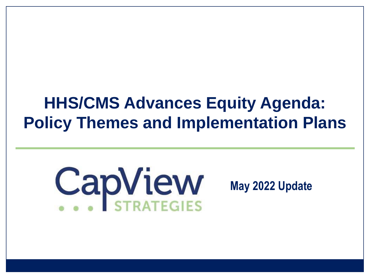## **HHS/CMS Advances Equity Agenda: Policy Themes and Implementation Plans**

# CapView

### **May 2022 Update**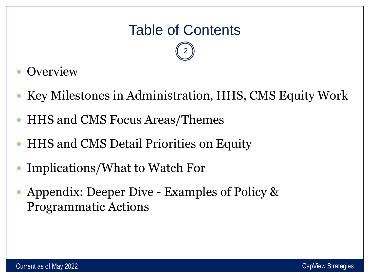- **Overview**
- Key Milestones in Administration, HHS, CMS Equity Work
- HHS and CMS Focus Areas/Themes
- HHS and CMS Detail Priorities on Equity
- Implications/What to Watch For
- Appendix: Deeper Dive Examples of Policy & Programmatic Actions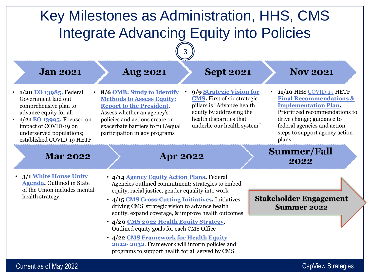

Current as of May 2022 **CapView Strategies** Current as of May 2022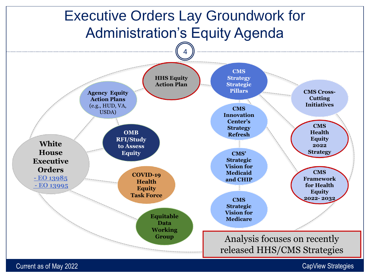

Current as of May 2022 **CapView Strategies** Current as of May 2022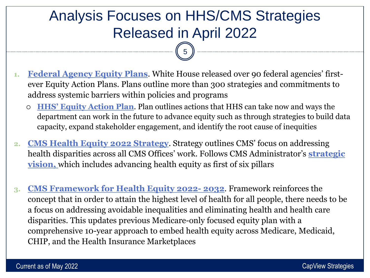### Analysis Focuses on HHS/CMS Strategies Released in April 2022

- **1. [Federal Agency Equity Plans](https://www.whitehouse.gov/briefing-room/statements-releases/2022/04/14/fact-sheet-biden-harris-administration-releases-agency-equity-action-plans-to-advance-equity-and-racial-justice-across-the-federal-government/)**. White House released over 90 federal agencies' firstever Equity Action Plans. Plans outline more than 300 strategies and commitments to address systemic barriers within policies and programs
	- **[HHS' Equity Action Plan](https://www.hhs.gov/sites/default/files/hhs-equity-action-plan.pdf)**. Plan outlines actions that HHS can take now and ways the department can work in the future to advance equity such as through strategies to build data capacity, expand stakeholder engagement, and identify the root cause of inequities
- **2. [CMS Health Equity 2022 Strategy](https://www.cms.gov/newsroom/press-releases/cms-outlines-strategy-advance-health-equity-challenges-industry-leaders-address-systemic-inequities)**. Strategy outlines CMS' focus on addressing [health disparities across all CMS Offices' work. Follows CMS Administrator's](https://www.cms.gov/blog/my-first-100-days-and-where-we-go-here-strategic-vision-cms) **strategic vision,** which includes advancing health equity as first of six pillars
- **3. [CMS Framework for Health Equity 2022-](https://www.cms.gov/About-CMS/Agency-Information/OMH/equity-initiatives/framework-for-health-equity) 2032**. Framework reinforces the concept that in order to attain the highest level of health for all people, there needs to be a focus on addressing avoidable inequalities and eliminating health and health care disparities. This updates previous Medicare-only focused equity plan with a comprehensive 10-year approach to embed health equity across Medicare, Medicaid, CHIP, and the Health Insurance Marketplaces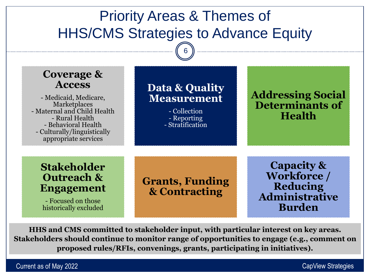### Priority Areas & Themes of HHS/CMS Strategies to Advance Equity

6

| <b>Coverage &amp;</b><br><b>Access</b><br>- Medicaid, Medicare,<br>Marketplaces<br>- Maternal and Child Health<br>- Rural Health<br>- Behavioral Health<br>- Culturally/linguistically<br>appropriate services | Data & Quality<br>Measurement<br>- Collection<br>- Reporting<br>- Stratification | <b>Addressing Social</b><br><b>Determinants of</b><br><b>Health</b>                               |
|----------------------------------------------------------------------------------------------------------------------------------------------------------------------------------------------------------------|----------------------------------------------------------------------------------|---------------------------------------------------------------------------------------------------|
| <b>Stakeholder</b><br><b>Outreach &amp;</b><br><b>Engagement</b><br>- Focused on those<br>historically excluded                                                                                                | <b>Grants, Funding</b><br>& Contracting                                          | <b>Capacity &amp;</b><br><b>Workforce</b> /<br>Reducing<br><b>Administrative</b><br><b>Burden</b> |

**HHS and CMS committed to stakeholder input, with particular interest on key areas. Stakeholders should continue to monitor range of opportunities to engage (e.g., comment on proposed rules/RFIs, convenings, grants, participating in initiatives).**

Current as of May 2022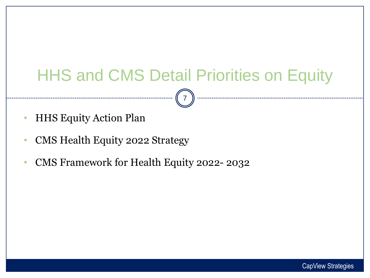# HHS and CMS Detail Priorities on Equity

- HHS Equity Action Plan
- CMS Health Equity 2022 Strategy
- CMS Framework for Health Equity 2022- 2032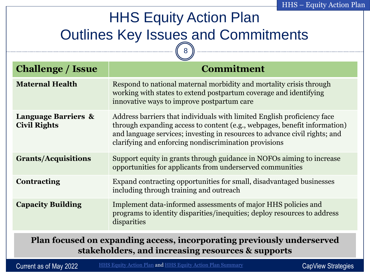### HHS Equity Action Plan **Outlines Key Issues and Commitments**  $\sqrt{8}$

| <b>Challenge / Issue</b>                              | <b>Commitment</b>                                                                                                                                                                                                                                                                           |
|-------------------------------------------------------|---------------------------------------------------------------------------------------------------------------------------------------------------------------------------------------------------------------------------------------------------------------------------------------------|
| <b>Maternal Health</b>                                | Respond to national maternal morbidity and mortality crisis through<br>working with states to extend postpartum coverage and identifying<br>innovative ways to improve postpartum care                                                                                                      |
| <b>Language Barriers &amp;</b><br><b>Civil Rights</b> | Address barriers that individuals with limited English proficiency face<br>through expanding access to content (e.g., webpages, benefit information)<br>and language services; investing in resources to advance civil rights; and<br>clarifying and enforcing nondiscrimination provisions |
| <b>Grants/Acquisitions</b>                            | Support equity in grants through guidance in NOFOs aiming to increase<br>opportunities for applicants from underserved communities                                                                                                                                                          |
| <b>Contracting</b>                                    | Expand contracting opportunities for small, disadvantaged businesses<br>including through training and outreach                                                                                                                                                                             |
| <b>Capacity Building</b>                              | Implement data-informed assessments of major HHS policies and<br>programs to identity disparities/inequities; deploy resources to address<br>disparities                                                                                                                                    |
|                                                       |                                                                                                                                                                                                                                                                                             |

**Plan focused on expanding access, incorporating previously underserved stakeholders, and increasing resources & supports** 

Current as of May 2022

CapView Strategies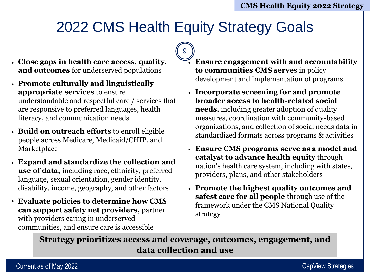### 2022 CMS Health Equity Strategy Goals

9

- **Close gaps in health care access, quality, and outcomes** for underserved populations
- **Promote culturally and linguistically appropriate services** to ensure understandable and respectful care / services that are responsive to preferred languages, health literacy, and communication needs
- **Build on outreach efforts** to enroll eligible people across Medicare, Medicaid/CHIP, and Marketplace
- **Expand and standardize the collection and use of data,** including race, ethnicity, preferred language, sexual orientation, gender identity, disability, income, geography, and other factors
- **Evaluate policies to determine how CMS can support safety net providers,** partner with providers caring in underserved communities, and ensure care is accessible
- **Ensure engagement with and accountability to communities CMS serves** in policy development and implementation of programs
- **Incorporate screening for and promote broader access to health-related social needs,** including greater adoption of quality measures, coordination with community-based organizations, and collection of social needs data in standardized formats across programs & activities
- **Ensure CMS programs serve as a model and catalyst to advance health equity** through nation's health care system, including with states, providers, plans, and other stakeholders
- **Promote the highest quality outcomes and safest care for all people** through use of the framework under the CMS National Quality strategy

**Strategy prioritizes access and coverage, outcomes, engagement, and data collection and use**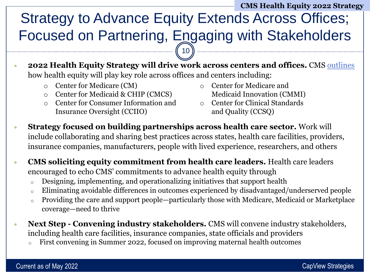### **CMS Health Equity 2022 Strategy**

### Strategy to Advance Equity Extends Across Offices; Focused on Partnering, Engaging with Stakeholders  $(10)$

- **2022 Health Equity Strategy will drive work across centers and offices.** CMS [outlines](https://www.cms.gov/newsroom/press-releases/cms-outlines-strategy-advance-health-equity-challenges-industry-leaders-address-systemic-inequities) how health equity will play key role across offices and centers including:
	- o Center for Medicare (CM)
	- o Center for Medicaid & CHIP (CMCS)
	- o Center for Consumer Information and Insurance Oversight (CCIIO)
- o Center for Medicare and Medicaid Innovation (CMMI)
- o Center for Clinical Standards and Quality (CCSQ)
- **Strategy focused on building partnerships across health care sector.** Work will include collaborating and sharing best practices across states, health care facilities, providers, insurance companies, manufacturers, people with lived experience, researchers, and others
- **CMS soliciting equity commitment from health care leaders.** Health care leaders encouraged to echo CMS' commitments to advance health equity through
	- <sup>o</sup> Designing, implementing, and operationalizing initiatives that support health
	- <sup>o</sup> Eliminating avoidable differences in outcomes experienced by disadvantaged/underserved people
	- <sup>o</sup> Providing the care and support people—particularly those with Medicare, Medicaid or Marketplace coverage—need to thrive
- **Next Step - Convening industry stakeholders.** CMS will convene industry stakeholders, including health care facilities, insurance companies, state officials and providers
	- First convening in Summer 2022, focused on improving maternal health outcomes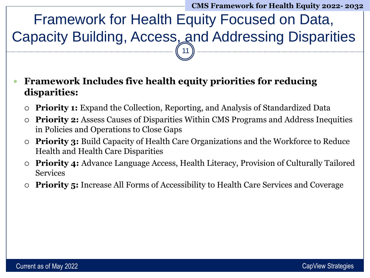**CMS Framework for Health Equity 2022- 2032**

Framework for Health Equity Focused on Data, Capacity Building, Access, and Addressing Disparities 11

 **Framework Includes five health equity priorities for reducing disparities:**

- **Priority 1:** Expand the Collection, Reporting, and Analysis of Standardized Data
- **Priority 2:** Assess Causes of Disparities Within CMS Programs and Address Inequities in Policies and Operations to Close Gaps
- **Priority 3:** Build Capacity of Health Care Organizations and the Workforce to Reduce Health and Health Care Disparities
- **Priority 4:** Advance Language Access, Health Literacy, Provision of Culturally Tailored Services
- **Priority 5:** Increase All Forms of Accessibility to Health Care Services and Coverage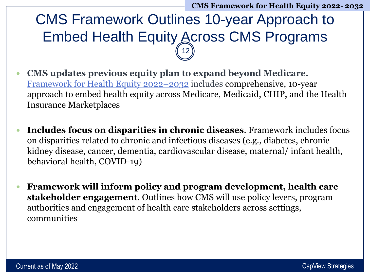### CMS Framework Outlines 10-year Approach to Embed Health Equity Across CMS Programs 12

- **CMS updates previous equity plan to expand beyond Medicare.**  [Framework for Health Equity 2022](https://www.cms.gov/About-CMS/Agency-Information/OMH/equity-initiatives/framework-for-health-equity)–2032 includes comprehensive, 10-year approach to embed health equity across Medicare, Medicaid, CHIP, and the Health Insurance Marketplaces
- **Includes focus on disparities in chronic diseases**. Framework includes focus on disparities related to chronic and infectious diseases (e.g., diabetes, chronic kidney disease, cancer, dementia, cardiovascular disease, maternal/ infant health, behavioral health, COVID-19)
- **Framework will inform policy and program development, health care stakeholder engagement**. Outlines how CMS will use policy levers, program authorities and engagement of health care stakeholders across settings, communities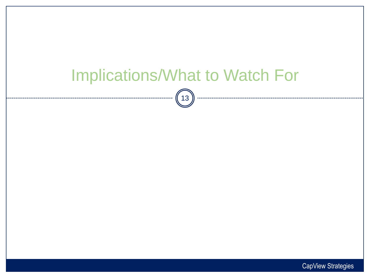# Implications/What to Watch For  $\binom{13}{}$

CapView Strategies